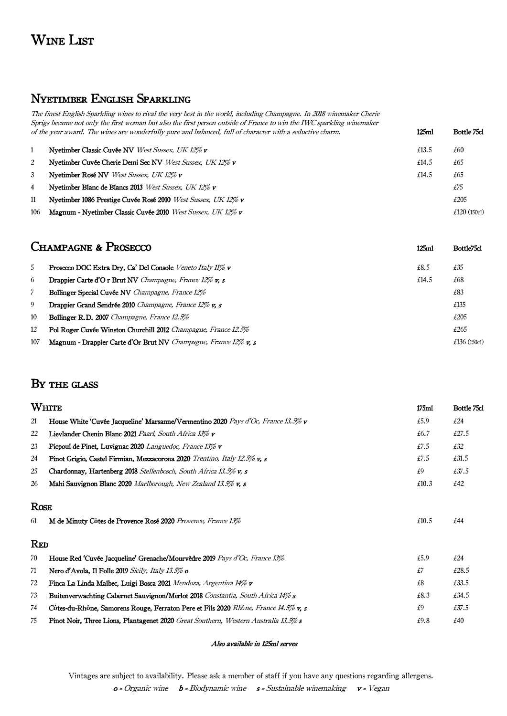# Wine List

### Nyetimber English Sparkling

The finest English Sparkling wines to rival the very best in the world, including Champagne. In 2018 winemaker Cherie Sprigs became not only the first woman but also the first person outside of France to win the IWC sparkling winemaker of the year award. The wines are wonderfully pure and balanced, full of character with a seductive charm. 125ml Bottle 75cl

|                | Nyetimber Classic Cuvée NV West Sussex, UK 12% v              | £13.5 | £60            |
|----------------|---------------------------------------------------------------|-------|----------------|
| 2              | Nyetimber Cuvée Cherie Demi Sec NV West Sussex, UK 12% v      | £14.5 | £65            |
| 3              | Nyetimber Rosé NV West Sussex, UK 12% v                       | £14.5 | £65            |
| $\overline{4}$ | Nyetimber Blanc de Blancs 2013 West Sussex, UK 12% v          |       | £75            |
| 11             | Nyetimber 1086 Prestige Cuvée Rosé 2010 West Sussex, UK 12% v |       | £205           |
| 106            | Magnum - Nyetimber Classic Cuvée 2010 West Sussex, UK 12% v   |       | £120 $(150c1)$ |

| <b>CHAMPAGNE &amp; PROSECCO</b>                                       |       | Bottle <sup>75</sup> cl |
|-----------------------------------------------------------------------|-------|-------------------------|
| Prosecco DOC Extra Dry, Ca' Del Console Veneto Italy 11% v            | £8.5  | £35                     |
| <b>Drappier Carte d'O r Brut NV</b> Champagne, France 12% v, s        | £14.5 | £68                     |
| <b>Bollinger Special Cuvée NV</b> Champagne, France 12%               |       | £83                     |
| <b>Drappier Grand Sendrée 2010</b> Champagne, France 12% <b>v.</b> s  |       | £135                    |
| <b>Bollinger R.D. 2007</b> Champagne, France 12.5%                    |       | £205                    |
| <b>Pol Roger Cuvée Winston Churchill 2012</b> Champagne, France 12.5% |       | £265                    |
| Magnum - Drappier Carte d'Or Brut NV Champagne, France 12% v, s       |       | £136 $(150c1)$          |
|                                                                       |       | 125ml                   |

### BY THE GLASS

|             | WHITE<br>175ml                                                                             |       | Bottle 75cl |
|-------------|--------------------------------------------------------------------------------------------|-------|-------------|
| 21          | House White 'Cuvée Jacqueline' Marsanne/Vermentino 2020 Pays d'Oc, France 13.5% v          | £5.9  | £24         |
| 22          | Lievlander Chenin Blanc 2021 Paarl, South Africa 13% v                                     | £6.7  | £27.5       |
| 23          | Picpoul de Pinet, Luvignac 2020 Languedoc, France 13% v                                    | £7.5  | £32         |
| 24          | Pinot Grigio, Castel Firmian, Mezzacorona 2020 Trentino, Italy 12.5% v, s                  | £7.5  | £31.5       |
| 25          | Chardonnay, Hartenberg 2018 Stellenbosch, South Africa 13.5% v, s                          | £9    | £37.5       |
| 26          | Mahi Sauvignon Blanc 2020 Marlborough, New Zealand 13.5% v, s                              | £10.3 | £42         |
| <b>ROSE</b> |                                                                                            |       |             |
| 61          | M de Minuty Côtes de Provence Rosé 2020 Provence, France 13%                               | £10.5 | £44         |
| <b>RED</b>  |                                                                                            |       |             |
| 70          | House Red 'Cuvée Jacqueline' Grenache/Mourvèdre 2019 Pays d'Oc, France 13%                 | £5.9  | £24         |
| 71          | Nero d'Avola, Il Folle 2019 Sicily, Italy 13.5% o                                          | £7    | £28.5       |
| 72          | Finca La Linda Malbec, Luigi Bosca 2021 Mendoza, Argentina 14% v                           | £8    | £33.5       |
| 73          | Buitenverwachting Cabernet Sauvignon/Merlot 2018 Constantia, South Africa 14% s            | £8.3  | £34.5       |
| 74          | Côtes-du-Rhône, Samorens Rouge, Ferraton Pere et Fils 2020 Rhône, France 14.5% v, s        | £9    | £37.5       |
| 75          | <b>Pinot Noir, Three Lions, Plantagenet 2020</b> Great Southern, Western Australia 13.5% s | £9.8  | £40         |

#### Also available in 125ml serves

Vintages are subject to availability. Please ask a member of staff if you have any questions regarding allergens.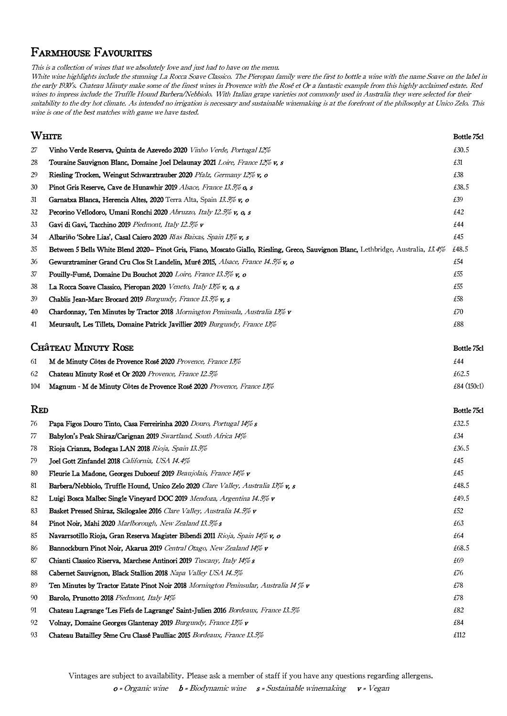## Farmhouse Favourites

This is a collection of wines that we absolutely love and just had to have on the menu.

White wine highlights include the stunning La Rocca Soave Classico. The Pieropan family were the first to bottle a wine with the name Soave on the label in the early 1930's. Château Minuty make some of the finest wines in Provence with the Rosé et Or a fantastic example from this highly acclaimed estate. Red wines to impress include the Truffle Hound Barbera/Nebbiolo. With Italian grape varieties not commonly used in Australia they were selected for their suitability to the dry hot climate. As intended no irrigation is necessary and sustainable winemaking is at the forefront of the philosophy at Unico Zelo. This wine is one of the best matches with game we have tasted.

#### when the state of the state of the state of the state of the state of the state  $\sim$  Bottle 75cl  $\sim$

| 27 | Vinho Verde Reserva, Quinta de Azevedo 2020 <i>Vinho Verde, Portugal 12%</i>                                                        | £30.5 |
|----|-------------------------------------------------------------------------------------------------------------------------------------|-------|
| 28 | Touraine Sauvignon Blanc, Domaine Joel Delaunay 2021 Loire, France 12% v, s                                                         | £31   |
| 29 | Riesling Trocken, Weingut Schwarztrauber 2020 Pfalz, Germany 12% v, o                                                               | £38   |
| 30 | <b>Pinot Gris Reserve, Cave de Hunawhir 2019</b> Alsace, France 13.5% <b>o, s</b>                                                   | £38.5 |
| 31 | Garnatxa Blanca, Herencia Altes, 2020 Terra Alta, Spain 13.5% v, o                                                                  | £39   |
| 32 | Pecorino Vellodoro, Umani Ronchi 2020 Abruzzo, Italy 12.5% v, o, s                                                                  | £42   |
| 33 | Gavi di Gavi, Tacchino 2019 Piedmont, Italy 12.5% v                                                                                 | £44   |
| 34 | Albariño 'Sobre Lias', Casal Caiero 2020 Rías Baixas, Spain 13% v, s                                                                | £45   |
| 35 | Between 5 Bells White Blend 2020– Pinot Gris, Fiano, Moscato Giallo, Riesling, Greco, Sauvignon Blanc, Lethbridge, Australia, 13.4% | £48.5 |
| 36 | Gewurztraminer Grand Cru Clos St Landelin, Muré 2015, Alsace, France 14.5% v, o                                                     | £54   |
| 37 | Pouilly-Fumé, Domaine Du Bouchot 2020 Loire, France 13.5% v, o                                                                      | £55   |
| 38 | La Rocca Soave Classico, Pieropan 2020 Veneto, Italy 13% v, o, s                                                                    | £55   |
| 39 | Chablis Jean-Marc Brocard 2019 Burgundy, France 13.5% v, s                                                                          | £58   |
| 40 | <b>Chardonnay, Ten Minutes by Tractor 2018</b> Mornington Peninsula, Australia 13% $\bf{v}$                                         | £70   |
| 41 | Meursault, Les Tillets, Domaine Patrick Javillier 2019 Burgundy, France 13%                                                         | £88   |

#### **CHÂTEAU MINUTY ROSE** Bottle 75cl

| 61  | M de Minuty Côtes de Provence Rosé 2020 Provence, France 13%          | £44           |
|-----|-----------------------------------------------------------------------|---------------|
| 62  | <b>Chateau Minuty Rosé et Or 2020</b> Provence, France 12.5%          | £62.5         |
| 104 | Magnum - M de Minuty Côtes de Provence Rosé 2020 Provence, France 13% | £84 $(150c1)$ |

#### Red Bottle 75cl

| 76 | Papa Figos Douro Tinto, Casa Ferreirinha 2020 Douro, Portugal 14% s                      | £32.5 |
|----|------------------------------------------------------------------------------------------|-------|
| 77 | Babylon's Peak Shiraz/Carignan 2019 Swartland, South Africa 14%                          | £34   |
| 78 | Rioja Crianza, Bodegas LAN 2018 Rioja, Spain 13.5%                                       | £36.5 |
| 79 | Joel Gott Zinfandel 2018 California, USA 14.4%                                           | £45   |
| 80 | Fleurie La Madone, Georges Duboeuf 2019 Beaujolais, France 14% v                         | £45   |
| 81 | Barbera/Nebbiolo, Truffle Hound, Unico Zelo 2020 Clare Valley, Australia 13% v, s        | £48.5 |
| 82 | Luigi Bosca Malbec Single Vineyard DOC 2019 Mendoza, Argentina 14.5% v                   | £49.5 |
| 83 | Basket Pressed Shiraz, Skilogalee 2016 Clare Valley, Australia 14.5% v                   | £52   |
| 84 | <b>Pinot Noir, Mahi 2020</b> Marlborough, New Zealand 13.5% s                            | £63   |
| 85 | Navarrsotillo Rioja, Gran Reserva Magister Bibendi 2011 Rioja, Spain 14% v, o            | £64   |
| 86 | Bannockburn Pinot Noir, Akarua 2019 Central Otago, New Zealand 14% v                     | £68.5 |
| 87 | Chianti Classico Riserva, Marchese Antinori 2019 Tuscany, Italy 14% s                    | £69   |
| 88 | Cabernet Sauvignon, Black Stallion 2018 Napa Valley USA 14.5%                            | £76   |
| 89 | Ten Minutes by Tractor Estate Pinot Noir 2018 Mornington Peninsular, Australia 14 $\%$ v | £78   |
| 90 | Barolo, Prunotto 2018 Piedmont, Italy 14%                                                | £78   |
| 91 | Chateau Lagrange 'Les Fiefs de Lagrange' Saint-Julien 2016 Bordeaux, France 13.5%        | £82   |
| 92 | Volnay, Domaine Georges Glantenay 2019 Burgundy, France 13% v                            | £84   |
| 93 | Chateau Batailley 5ème Cru Classé Paulliac 2015 Bordeaux, France 13.5%                   | £112  |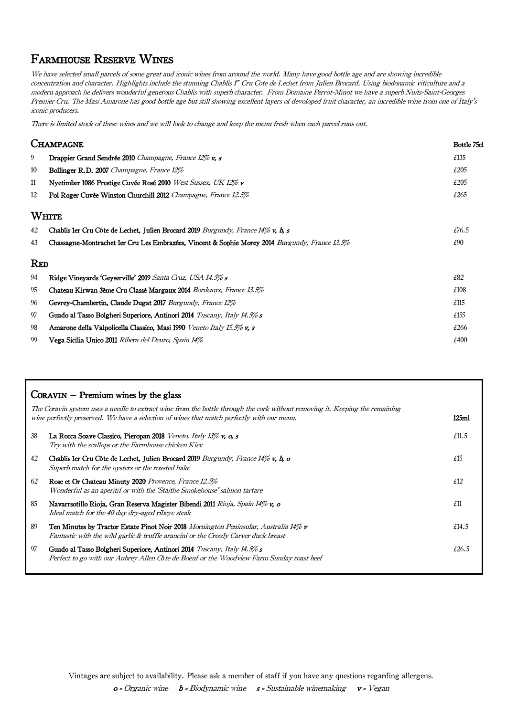### Farmhouse Reserve Wines

We have selected small parcels of some great and iconic wines from around the world. Many have good bottle age and are showing incredible concentration and character. Highlights include the stunning Chablis I<sup>n</sup> Cru Cote de Lechet from Julien Brocard. Using biodonamic viticulture and a modern approach he delivers wonderful generous Chablis with superb character. From Domaine Perrot-Minot we have a superb Nuits-Saint-Georges Premier Cru. The Masi Amarone has good bottle age but still showing excellent layers of devoloped fruit character, an incredible wine from one of Italy's iconic producers.

There is limited stock of these wines and we will look to change and keep the menu fresh when each parcel runs out.

|            | CHAMPAGNE<br>Bottle 75cl                                                                       |       |
|------------|------------------------------------------------------------------------------------------------|-------|
| 9          | Drappier Grand Sendrée 2010 Champagne, France 12% v, s                                         | £135  |
| 10         | <b>Bollinger R.D. 2007</b> Champagne, France 12%                                               | £205  |
| 11         | Nyetimber 1086 Prestige Cuvée Rosé 2010 West Sussex, UK 12% v                                  | £205  |
| 12         | Pol Roger Cuvée Winston Churchill 2012 Champagne, France 12.5%                                 | £265  |
|            | WHITE                                                                                          |       |
| 42         | Chablis 1er Cru Côte de Lechet, Julien Brocard 2019 Burgundy, France 14% v, b, s               | £76.5 |
| 43         | Chassagne-Montrachet 1er Cru Les Embrazées, Vincent & Sophie Morey 2014 Burgundy, France 13.5% | £90   |
| <b>RED</b> |                                                                                                |       |
| 94         | Ridge Vineyards 'Geyserville' 2019 Santa Cruz, USA 14.5% s                                     | £82   |
| 95         | Chateau Kirwan 3ème Cru Classé Margaux 2014 Bordeaux, France 13.5%                             | £108  |
| 96         | Gevrey-Chambertin, Claude Dugat 2017 Burgundy, France 12%                                      | £115  |
| 97         | Guado al Tasso Bolgheri Superiore, Antinori 2014 Tuscany, Italy 14.5% s                        | £155  |
| 98         | Amarone della Valpolicella Classico, Masi 1990 Veneto Italy 15.5% v, s                         | £266  |
| 99         | Vega Sicilia Unico 2011 Ribera del Deuro, Spain 14%                                            | £400  |

|    | $C$ ORAVIN $-$ Premium wines by the glass                                                                                                                                                                                  |                   |
|----|----------------------------------------------------------------------------------------------------------------------------------------------------------------------------------------------------------------------------|-------------------|
|    | The Coravin system uses a needle to extract wine from the bottle through the cork without removing it. Keeping the remaining<br>wine perfectly preserved. We have a selection of wines that match perfectly with our menu. | 125 <sub>ml</sub> |
| 38 | La Rocca Soave Classico, Pieropan 2018 Veneto, Italy 13% v, o, s<br>Try with the scallops or the Farmhouse chicken Kiev                                                                                                    | £11.5             |
| 42 | Chablis 1er Cru Côte de Lechet, Julien Brocard 2019 Burgundy, France 14% v, b, o<br>Superb match for the oysters or the roasted hake                                                                                       | £15               |
| 62 | Rose et Or Chateau Minuty 2020 Provence, France 12.5%<br>Wonderful as an aperitif or with the 'Staithe Smokehouse' salmon tartare                                                                                          | £12               |
| 85 | Navarrsotillo Rioja, Gran Reserva Magister Bibendi 2011 Rioja, Spain 14% v, o<br>Ideal match for the 40 day dry-aged ribeye steak                                                                                          | £11               |
| 89 | <b>Ten Minutes by Tractor Estate Pinot Noir 2018</b> Mornington Peninsular, Australia 14% v<br>Fantastic with the wild garlic & truffle arancini or the Creedy Carver duck breast                                          | £14.5             |
| 97 | Guado al Tasso Bolgheri Superiore, Antinori 2014 Tuscany, Italy 14.5% s<br>Perfect to go with our Aubrey Allen Cote de Boeuf or the Woodview Farm Sunday roast beef                                                        | £26.5             |